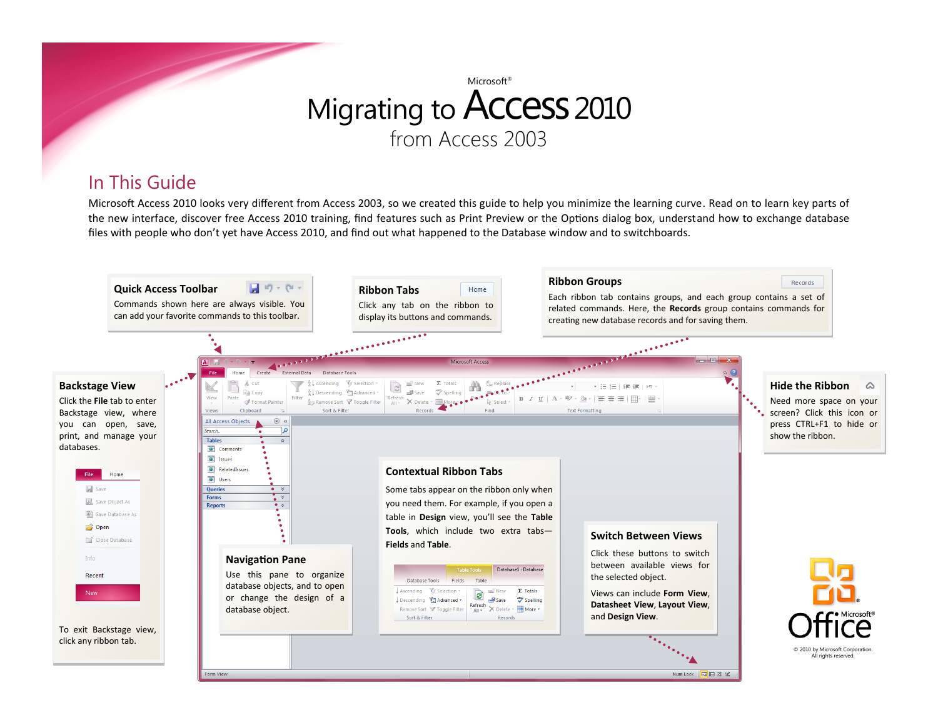### In This Guide

Microsoft Access 2010 looks very different from Access 2003, so we created this guide to help you minimize the learning curve. Read on to learn key parts of the new interface, discover free Access 2010 training, find features such as Print Preview or the Options dialog box, understand how to exchange database files with people who don't yet have Access 2010, and find out what happened to the Database window and to switchboards.

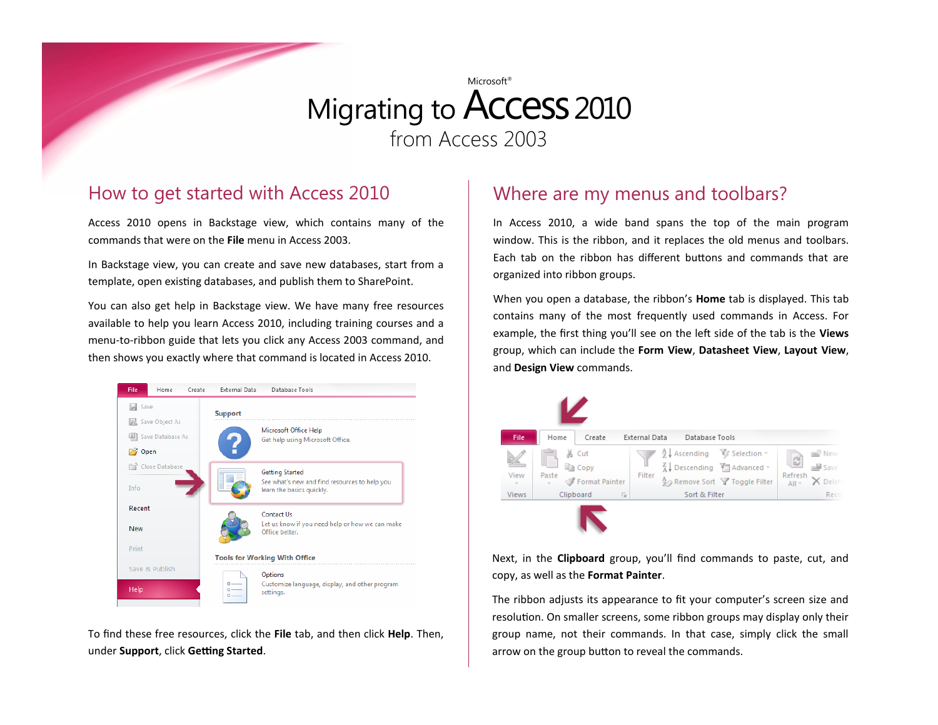#### How to get started with Access 2010

Access 2010 opens in Backstage view, which contains many of the commands that were on the **File** menu in Access 2003.

In Backstage view, you can create and save new databases, start from a template, open existing databases, and publish them to SharePoint.

You can also get help in Backstage view. We have many free resources available to help you learn Access 2010, including training courses and a menu-to-ribbon guide that lets you click any Access 2003 command, and then shows you exactly where that command is located in Access 2010.



To find these free resources, click the **File** tab, and then click **Help**. Then, under **Support**, click **Getting Started**.

#### Where are my menus and toolbars?

In Access 2010, a wide band spans the top of the main program window. This is the ribbon, and it replaces the old menus and toolbars. Each tab on the ribbon has different buttons and commands that are organized into ribbon groups.

When you open a database, the ribbon's **Home** tab is displayed. This tab contains many of the most frequently used commands in Access. For example, the first thing you'll see on the left side of the tab is the **Views** group, which can include the **Form View**, **Datasheet View**, **Layout View**, and **Design View** commands.



Next, in the **Clipboard** group, you'll find commands to paste, cut, and copy, as well as the **Format Painter**.

The ribbon adjusts its appearance to fit your computer's screen size and resolution. On smaller screens, some ribbon groups may display only their group name, not their commands. In that case, simply click the small arrow on the group button to reveal the commands.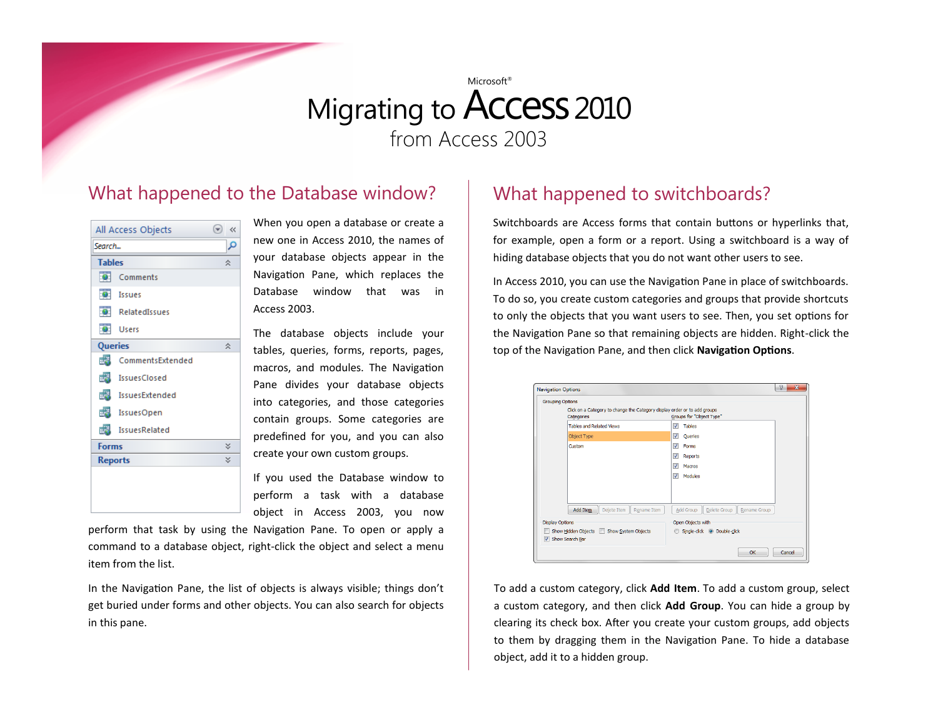#### What happened to the Database window?



When you open a database or create a new one in Access 2010, the names of your database objects appear in the Navigation Pane, which replaces the Database window that was in Access 2003.

The database objects include your tables, queries, forms, reports, pages, macros, and modules. The Navigation Pane divides your database objects into categories, and those categories contain groups. Some categories are predefined for you, and you can also create your own custom groups.

If you used the Database window to perform a task with a database object in Access 2003, you now

perform that task by using the Navigation Pane. To open or apply a command to a database object, right-click the object and select a menu item from the list.

In the Navigation Pane, the list of objects is always visible; things don't get buried under forms and other objects. You can also search for objects in this pane.

### What happened to switchboards?

Switchboards are Access forms that contain buttons or hyperlinks that, for example, open a form or a report. Using a switchboard is a way of hiding database objects that you do not want other users to see.

In Access 2010, you can use the Navigation Pane in place of switchboards. To do so, you create custom categories and groups that provide shortcuts to only the objects that you want users to see. Then, you set options for the Navigation Pane so that remaining objects are hidden. Right-click the top of the Navigation Pane, and then click **Navigation Options**.

|                                           | <b>Grouping Options</b><br>Click on a Category to change the Category display order or to add groups<br>Categories | Groups for "Object Type"                  |  |  |
|-------------------------------------------|--------------------------------------------------------------------------------------------------------------------|-------------------------------------------|--|--|
|                                           | <b>Tables and Related Views</b>                                                                                    | V<br><b>Tables</b>                        |  |  |
|                                           | Object Type                                                                                                        | $\overline{\mathsf{v}}$<br>Queries        |  |  |
|                                           | Custom                                                                                                             | V<br>Forms                                |  |  |
|                                           |                                                                                                                    | V<br>Reports                              |  |  |
|                                           |                                                                                                                    | $\triangledown$<br>Macros                 |  |  |
|                                           |                                                                                                                    | Modules<br>$\overline{v}$                 |  |  |
|                                           |                                                                                                                    |                                           |  |  |
|                                           |                                                                                                                    |                                           |  |  |
|                                           | Delete Item<br>Add Item<br>Rename Item                                                                             | Add Group<br>Delete Group<br>Rename Group |  |  |
| <b>Display Options</b>                    |                                                                                                                    | Open Objects with                         |  |  |
| Show Hidden Objects   Show System Objects |                                                                                                                    | Single-click O Double-click               |  |  |
|                                           | Show Search Bar                                                                                                    |                                           |  |  |

To add a custom category, click **Add Item**. To add a custom group, select a custom category, and then click **Add Group**. You can hide a group by clearing its check box. After you create your custom groups, add objects to them by dragging them in the Navigation Pane. To hide a database object, add it to a hidden group.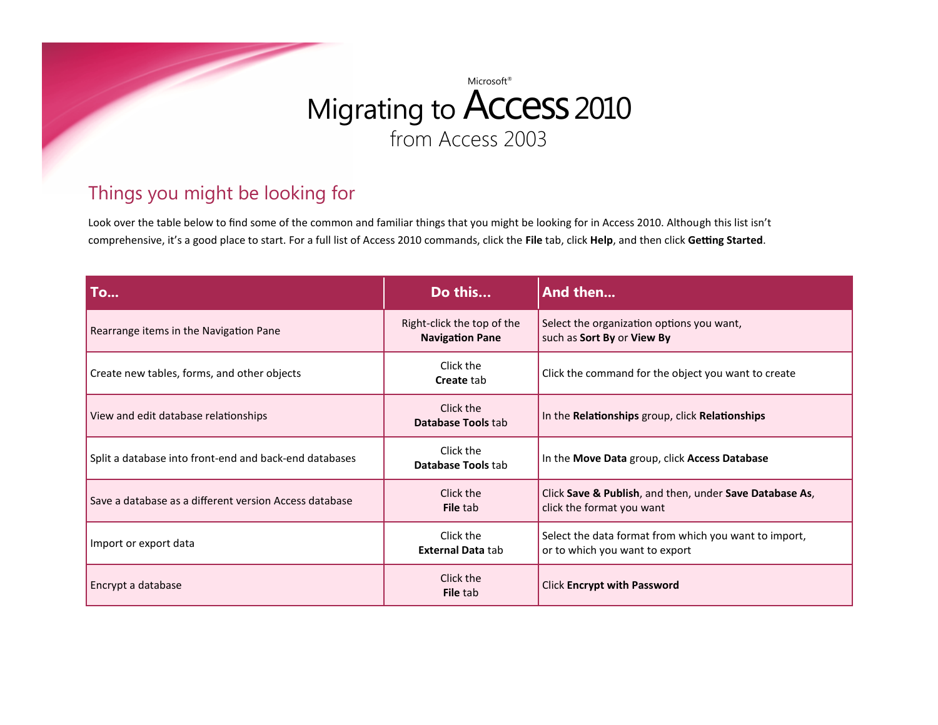

### Things you might be looking for

Look over the table below to find some of the common and familiar things that you might be looking for in Access 2010. Although this list isn't comprehensive, it's a good place to start. For a full list of Access 2010 commands, click the **File** tab, click **Help**, and then click **Getting Started**.

| To                                                     | Do this                                              | And then                                                                                |
|--------------------------------------------------------|------------------------------------------------------|-----------------------------------------------------------------------------------------|
| Rearrange items in the Navigation Pane                 | Right-click the top of the<br><b>Navigation Pane</b> | Select the organization options you want,<br>such as Sort By or View By                 |
| Create new tables, forms, and other objects            | Click the<br><b>Create tab</b>                       | Click the command for the object you want to create                                     |
| View and edit database relationships                   | Click the<br>Database Tools tab                      | In the Relationships group, click Relationships                                         |
| Split a database into front-end and back-end databases | Click the<br>Database Tools tab                      | In the Move Data group, click Access Database                                           |
| Save a database as a different version Access database | Click the<br><b>File tab</b>                         | Click Save & Publish, and then, under Save Database As,<br>click the format you want    |
| Import or export data                                  | Click the<br><b>External Data tab</b>                | Select the data format from which you want to import,<br>or to which you want to export |
| Encrypt a database                                     | Click the<br><b>File tab</b>                         | <b>Click Encrypt with Password</b>                                                      |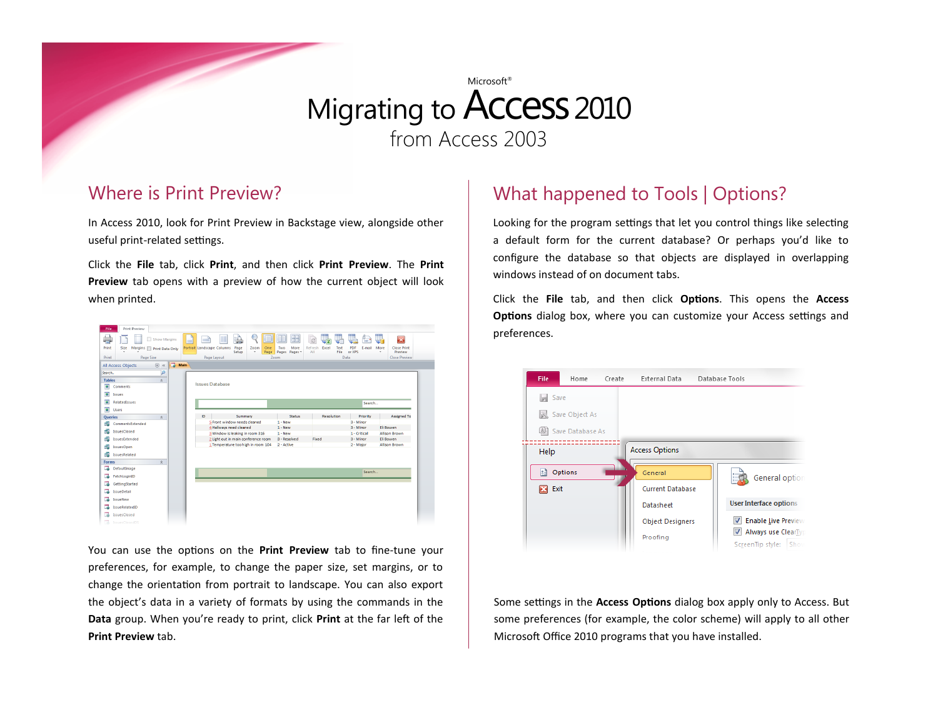#### Where is Print Preview?

In Access 2010, look for Print Preview in Backstage view, alongside other useful print-related settings.

Click the **File** tab, click **Print**, and then click **Print Preview**. The **Print Preview** tab opens with a preview of how the current object will look when printed.

| Print Preview<br>File                                                            |            |                                                                                                              |                          |                                              |                              |                                                      |                                                                                       |
|----------------------------------------------------------------------------------|------------|--------------------------------------------------------------------------------------------------------------|--------------------------|----------------------------------------------|------------------------------|------------------------------------------------------|---------------------------------------------------------------------------------------|
| Show Margins<br>Print<br>Size<br>Margins   Print Data Only<br>Print<br>Page Size | $=$        | ⇒<br>Portrait Landscape Columns<br>Page<br>Setup<br>Page Layout                                              | Zoom<br>One<br>Page<br>٠ | H<br>Two<br>More<br>Pages<br>Pages *<br>Zoom | B<br>Refresh<br>Excel<br>AII | ≕<br>PDF<br>Text<br>E-mail<br>File<br>or XPS<br>Data | $\vert x \vert$<br><b>Close Print</b><br>More<br>Preview<br>٠<br><b>Close Preview</b> |
| All Access Objects<br>$_{\odot}$<br>$\ll$                                        | m.<br>Main |                                                                                                              |                          |                                              |                              |                                                      |                                                                                       |
| م<br>Search                                                                      |            |                                                                                                              |                          |                                              |                              |                                                      |                                                                                       |
| <b>Tables</b><br>$\hat{\mathbf{x}}$                                              |            |                                                                                                              |                          |                                              |                              |                                                      |                                                                                       |
| <b>Issues Database</b><br>$\bullet$<br>Comments                                  |            |                                                                                                              |                          |                                              |                              |                                                      |                                                                                       |
| $\bullet$<br>Issues                                                              |            |                                                                                                              |                          |                                              |                              |                                                      |                                                                                       |
| $\bullet$<br>RelatedIssues                                                       | Search     |                                                                                                              |                          |                                              |                              |                                                      |                                                                                       |
| $\bullet$<br>Users                                                               |            |                                                                                                              |                          |                                              |                              |                                                      |                                                                                       |
| Queries<br>$\hat{\mathbf{x}}$                                                    | ID.        | Summary                                                                                                      |                          | <b>Status</b>                                | <b>Resolution</b>            | Priority                                             | Assigned To                                                                           |
| 國<br>CommentsExtended                                                            |            | 5 Front window needs cleaned                                                                                 |                          | $1 - New$                                    |                              | 3 - Minor                                            |                                                                                       |
| 國<br><b>IssuesClosed</b>                                                         |            | 4 Hallways need cleaned                                                                                      |                          | $1 - New$<br>$1 - New$                       |                              | 3 - Minor<br>1 - Critical                            | Eli Bowen<br>Allison Brown                                                            |
| 堰<br>IssuesExtended                                                              |            | 3 Window is leaking in room 316<br>2 Light out in main conference room<br>1 Temperature too high in room 104 |                          | 3 - Resolved                                 | Fixed                        | 3 - Minor                                            | Eli Bowen                                                                             |
| 龆<br>IssuesOpen                                                                  |            |                                                                                                              |                          | 2 - Active                                   |                              | 2 - Malor                                            | Allison Brown                                                                         |
| d3<br><b>IssuesRelated</b>                                                       |            |                                                                                                              |                          |                                              |                              |                                                      |                                                                                       |
|                                                                                  |            |                                                                                                              |                          |                                              |                              |                                                      |                                                                                       |
| Forms<br>$\hat{\mathbf{x}}$<br>玉<br>DefaultImage                                 |            |                                                                                                              |                          |                                              |                              |                                                      |                                                                                       |
| 78<br>FetchLoginID                                                               |            |                                                                                                              |                          |                                              |                              | Search                                               |                                                                                       |
|                                                                                  |            |                                                                                                              |                          |                                              |                              |                                                      |                                                                                       |
| ಡ<br>GettingStarted                                                              |            |                                                                                                              |                          |                                              |                              |                                                      |                                                                                       |
| つる<br><b>IssueDetail</b>                                                         |            |                                                                                                              |                          |                                              |                              |                                                      |                                                                                       |
| T.<br>IssueNew                                                                   |            |                                                                                                              |                          |                                              |                              |                                                      |                                                                                       |
| IssueRelatedID<br>z                                                              |            |                                                                                                              |                          |                                              |                              |                                                      |                                                                                       |
| <b>IssuesClosed</b><br>73                                                        |            |                                                                                                              |                          |                                              |                              |                                                      |                                                                                       |
| 己<br>IssuesClosedDS                                                              |            |                                                                                                              |                          |                                              |                              |                                                      |                                                                                       |

You can use the options on the **Print Preview** tab to fine-tune your preferences, for example, to change the paper size, set margins, or to change the orientation from portrait to landscape. You can also export the object's data in a variety of formats by using the commands in the **Data** group. When you're ready to print, click **Print** at the far left of the **Print Preview** tab.

### What happened to Tools | Options?

Looking for the program settings that let you control things like selecting a default form for the current database? Or perhaps you'd like to configure the database so that objects are displayed in overlapping windows instead of on document tabs.

Click the **File** tab, and then click **Options**. This opens the **Access Options** dialog box, where you can customize your Access settings and preferences.



Some settings in the **Access Options** dialog box apply only to Access. But some preferences (for example, the color scheme) will apply to all other Microsoft Office 2010 programs that you have installed.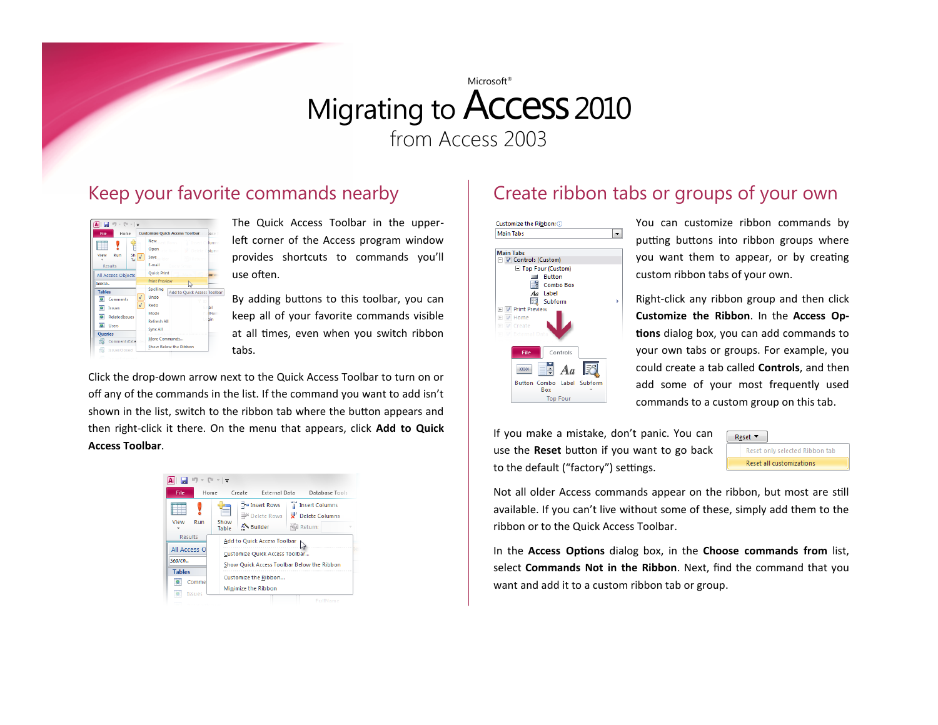#### Keep your favorite commands nearby



The Quick Access Toolbar in the upperleft corner of the Access program window provides shortcuts to commands you'll use often.

By adding buttons to this toolbar, you can keep all of your favorite commands visible at all times, even when you switch ribbon tabs.

Click the drop-down arrow next to the Quick Access Toolbar to turn on or off any of the commands in the list. If the command you want to add isn't shown in the list, switch to the ribbon tab where the button appears and then right-click it there. On the menu that appears, click **Add to Quick Access Toolbar**.



### Create ribbon tabs or groups of your own



You can customize ribbon commands by putting buttons into ribbon groups where you want them to appear, or by creating custom ribbon tabs of your own.

Right-click any ribbon group and then click **Customize the Ribbon**. In the **Access Options** dialog box, you can add commands to your own tabs or groups. For example, you could create a tab called **Controls**, and then add some of your most frequently used commands to a custom group on this tab.

If you make a mistake, don't panic. You can use the **Reset** button if you want to go back to the default ("factory") settings.



Not all older Access commands appear on the ribbon, but most are still available. If you can't live without some of these, simply add them to the ribbon or to the Quick Access Toolbar.

In the **Access Options** dialog box, in the **Choose commands from** list, select **Commands Not in the Ribbon**. Next, find the command that you want and add it to a custom ribbon tab or group.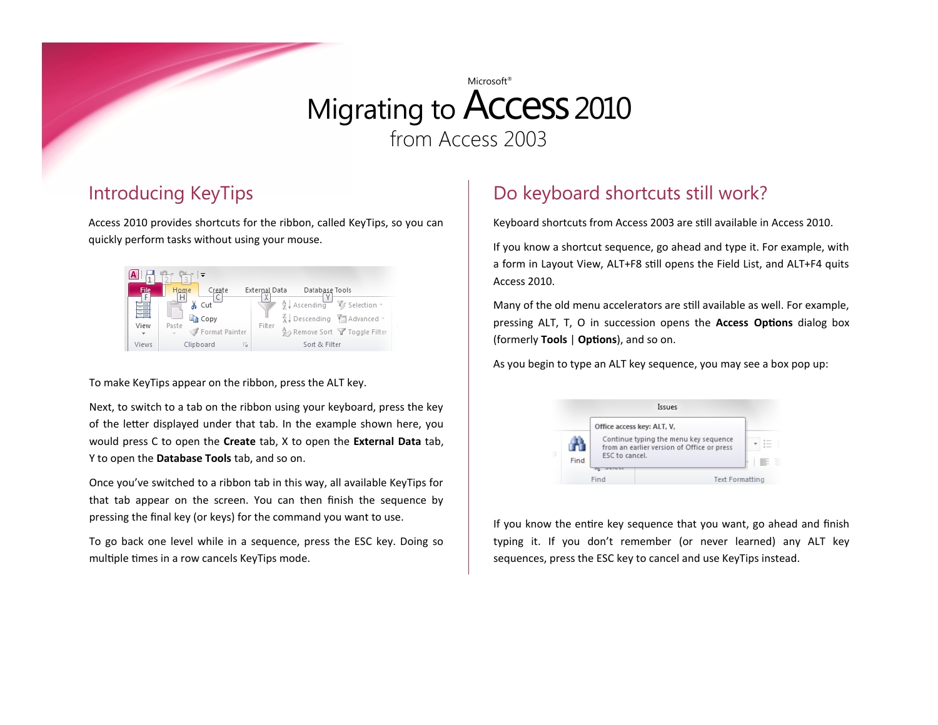### Introducing KeyTips

Access 2010 provides shortcuts for the ribbon, called KeyTips, so you can quickly perform tasks without using your mouse.



To make KeyTips appear on the ribbon, press the ALT key.

Next, to switch to a tab on the ribbon using your keyboard, press the key of the letter displayed under that tab. In the example shown here, you would press C to open the **Create** tab, X to open the **External Data** tab, Y to open the **Database Tools** tab, and so on.

Once you've switched to a ribbon tab in this way, all available KeyTips for that tab appear on the screen. You can then finish the sequence by pressing the final key (or keys) for the command you want to use.

To go back one level while in a sequence, press the ESC key. Doing so multiple times in a row cancels KeyTips mode.

## Do keyboard shortcuts still work?

Keyboard shortcuts from Access 2003 are still available in Access 2010.

If you know a shortcut sequence, go ahead and type it. For example, with a form in Layout View, ALT+F8 still opens the Field List, and ALT+F4 quits Access 2010.

Many of the old menu accelerators are still available as well. For example, pressing ALT, T, O in succession opens the **Access Options** dialog box (formerly **Tools** | **Options**), and so on.

As you begin to type an ALT key sequence, you may see a box pop up:

|      |                | Issues                                                                                                            |
|------|----------------|-------------------------------------------------------------------------------------------------------------------|
| Find | ESC to cancel. | Office access key: ALT, V,<br>Continue typing the menu key sequence<br>from an earlier version of Office or press |
|      | Find           | <b>Text Formatting</b>                                                                                            |

If you know the entire key sequence that you want, go ahead and finish typing it. If you don't remember (or never learned) any ALT key sequences, press the ESC key to cancel and use KeyTips instead.